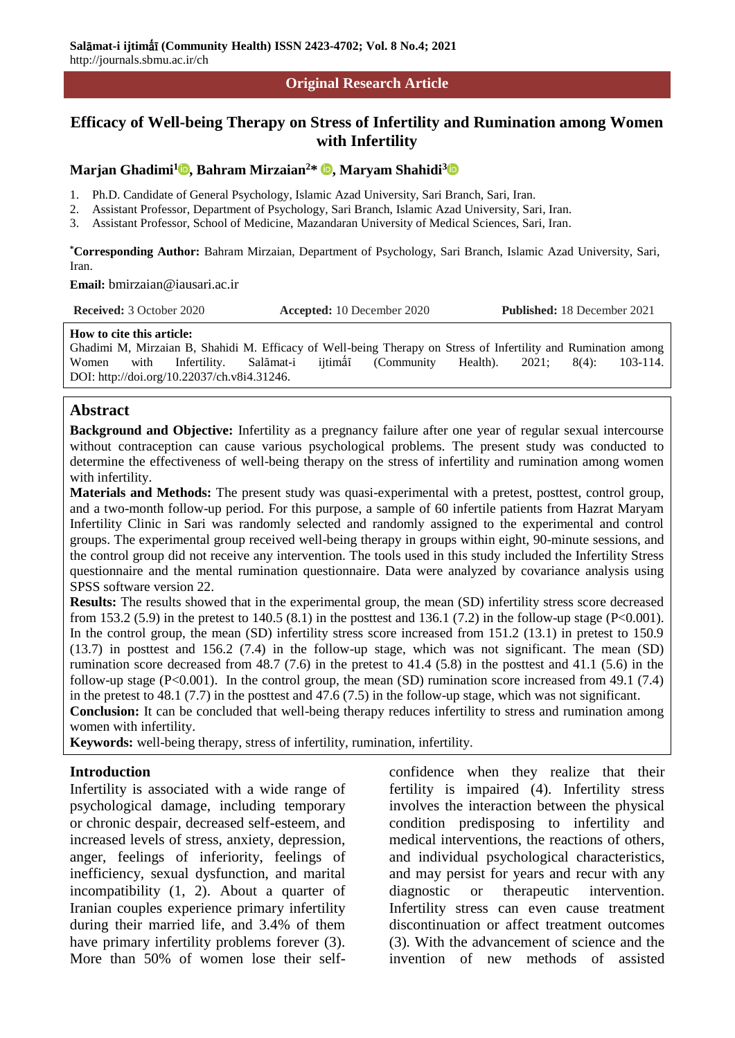#### **Original Research Article**

# **Efficacy of Well-being Therapy on Stress of Infertility and Rumination among Women with Infertility**

#### **Marjan Ghadimi<sup>1</sup> [,](https://orcid.org/0000-0003-1346-5790) Bahram Mirzaian<sup>2</sup>\* [,](https://orcid.org/0000-0002-1032-4389) Maryam Shahidi[3](https://orcid.org/0000-0003-4044-4696)**

- 1. Ph.D. Candidate of General Psychology, Islamic Azad University, Sari Branch, Sari, Iran.
- 2. Assistant Professor, Department of Psychology, Sari Branch, Islamic Azad University, Sari, Iran.
- 3. Assistant Professor, School of Medicine, Mazandaran University of Medical Sciences, Sari, Iran.

**\*Corresponding Author:** Bahram Mirzaian, Department of Psychology, Sari Branch, Islamic Azad University, Sari, Iran.

**Email:** bmirzaian@iausari.ac.ir

| <b>Received:</b> 3 October 2020 | <b>Accepted:</b> 10 December 2020 | <b>Published:</b> 18 December 2021 |
|---------------------------------|-----------------------------------|------------------------------------|
|---------------------------------|-----------------------------------|------------------------------------|

#### **How to cite this article:**

Ghadimi M, Mirzaian B, Shahidi M. Efficacy of Well-being Therapy on Stress of Infertility and Rumination among Women with Infertility. Salāmat-i ijtimāl (Community Health). 2021; 8(4): 103-114. DOI: http://doi.org/10.22037/ch.v8i4.31246.

#### **Abstract**

**Background and Objective:** Infertility as a pregnancy failure after one year of regular sexual intercourse without contraception can cause various psychological problems. The present study was conducted to determine the effectiveness of well-being therapy on the stress of infertility and rumination among women with infertility.

**Materials and Methods:** The present study was quasi-experimental with a pretest, posttest, control group, and a two-month follow-up period. For this purpose, a sample of 60 infertile patients from Hazrat Maryam Infertility Clinic in Sari was randomly selected and randomly assigned to the experimental and control groups. The experimental group received well-being therapy in groups within eight, 90-minute sessions, and the control group did not receive any intervention. The tools used in this study included the Infertility Stress questionnaire and the mental rumination questionnaire. Data were analyzed by covariance analysis using SPSS software version 22.

**Results:** The results showed that in the experimental group, the mean (SD) infertility stress score decreased from 153.2 (5.9) in the pretest to 140.5 (8.1) in the posttest and 136.1 (7.2) in the follow-up stage (P<0.001). In the control group, the mean (SD) infertility stress score increased from 151.2 (13.1) in pretest to 150.9 (13.7) in posttest and 156.2 (7.4) in the follow-up stage, which was not significant. The mean (SD) rumination score decreased from 48.7 (7.6) in the pretest to 41.4 (5.8) in the posttest and 41.1 (5.6) in the follow-up stage  $(P<0.001)$ . In the control group, the mean  $(SD)$  rumination score increased from 49.1 (7.4) in the pretest to 48.1 (7.7) in the posttest and 47.6 (7.5) in the follow-up stage, which was not significant. **Conclusion:** It can be concluded that well-being therapy reduces infertility to stress and rumination among

women with infertility. **Keywords:** well-being therapy, stress of infertility, rumination, infertility.

#### **Introduction**

Infertility is associated with a wide range of psychological damage, including temporary or chronic despair, decreased self-esteem, and increased levels of stress, anxiety, depression, anger, feelings of inferiority, feelings of inefficiency, sexual dysfunction, and marital incompatibility (1, 2). About a quarter of Iranian couples experience primary infertility during their married life, and 3.4% of them have primary infertility problems forever (3). More than 50% of women lose their selfconfidence when they realize that their fertility is impaired (4). Infertility stress involves the interaction between the physical condition predisposing to infertility and medical interventions, the reactions of others, and individual psychological characteristics, and may persist for years and recur with any diagnostic or therapeutic intervention. Infertility stress can even cause treatment discontinuation or affect treatment outcomes (3). With the advancement of science and the invention of new methods of assisted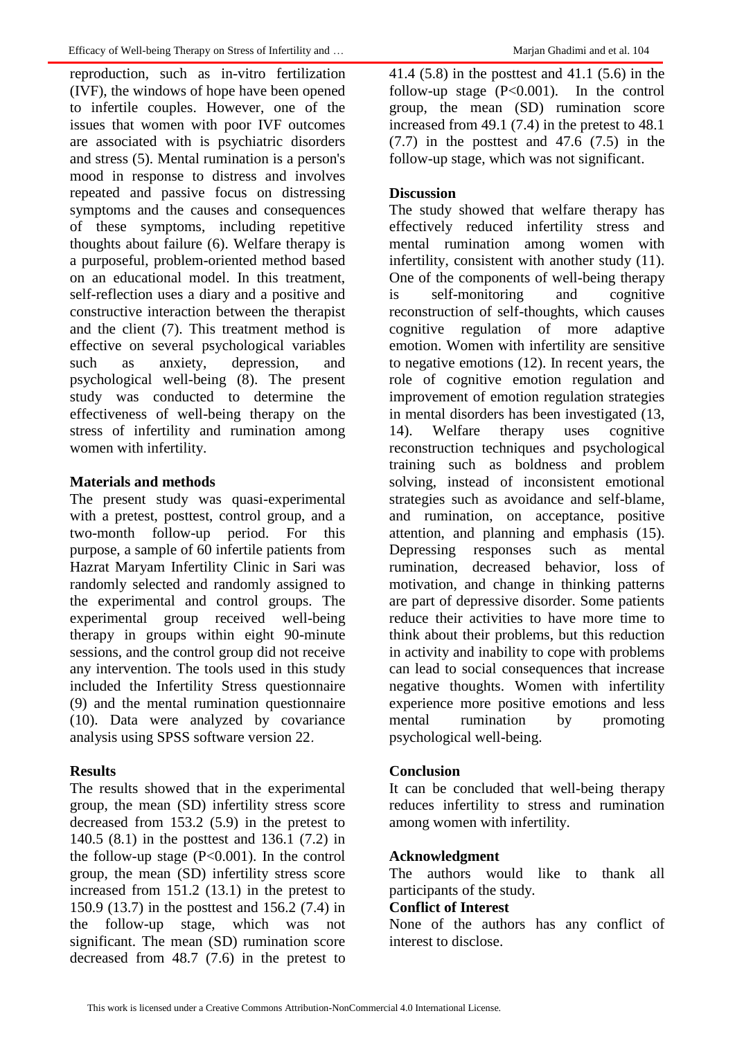reproduction, such as in-vitro fertilization (IVF), the windows of hope have been opened to infertile couples. However, one of the issues that women with poor IVF outcomes are associated with is psychiatric disorders and stress (5). Mental rumination is a person's mood in response to distress and involves repeated and passive focus on distressing symptoms and the causes and consequences of these symptoms, including repetitive thoughts about failure (6). Welfare therapy is a purposeful, problem-oriented method based on an educational model. In this treatment, self-reflection uses a diary and a positive and constructive interaction between the therapist and the client (7). This treatment method is effective on several psychological variables such as anxiety, depression, and psychological well-being (8). The present study was conducted to determine the effectiveness of well-being therapy on the stress of infertility and rumination among women with infertility.

# **Materials and methods**

The present study was quasi-experimental with a pretest, posttest, control group, and a two-month follow-up period. For this purpose, a sample of 60 infertile patients from Hazrat Maryam Infertility Clinic in Sari was randomly selected and randomly assigned to the experimental and control groups. The experimental group received well-being therapy in groups within eight 90-minute sessions, and the control group did not receive any intervention. The tools used in this study included the Infertility Stress questionnaire (9) and the mental rumination questionnaire (10). Data were analyzed by covariance analysis using SPSS software version 22.

# **Results**

The results showed that in the experimental group, the mean (SD) infertility stress score decreased from 153.2 (5.9) in the pretest to 140.5 (8.1) in the posttest and 136.1 (7.2) in the follow-up stage  $(P<0.001)$ . In the control group, the mean (SD) infertility stress score increased from 151.2 (13.1) in the pretest to 150.9 (13.7) in the posttest and 156.2 (7.4) in the follow-up stage, which was not significant. The mean (SD) rumination score decreased from 48.7 (7.6) in the pretest to

41.4 (5.8) in the posttest and 41.1 (5.6) in the follow-up stage  $(P<0.001)$ . In the control group, the mean (SD) rumination score increased from 49.1 (7.4) in the pretest to 48.1  $(7.7)$  in the posttest and 47.6  $(7.5)$  in the follow-up stage, which was not significant.

# **Discussion**

The study showed that welfare therapy has effectively reduced infertility stress and mental rumination among women with infertility, consistent with another study (11). One of the components of well-being therapy is self-monitoring and cognitive reconstruction of self-thoughts, which causes cognitive regulation of more adaptive emotion. Women with infertility are sensitive to negative emotions (12). In recent years, the role of cognitive emotion regulation and improvement of emotion regulation strategies in mental disorders has been investigated (13, 14). Welfare therapy uses cognitive reconstruction techniques and psychological training such as boldness and problem solving, instead of inconsistent emotional strategies such as avoidance and self-blame, and rumination, on acceptance, positive attention, and planning and emphasis (15). Depressing responses such as mental rumination, decreased behavior, loss of motivation, and change in thinking patterns are part of depressive disorder. Some patients reduce their activities to have more time to think about their problems, but this reduction in activity and inability to cope with problems can lead to social consequences that increase negative thoughts. Women with infertility experience more positive emotions and less mental rumination by promoting psychological well-being.

## **Conclusion**

It can be concluded that well-being therapy reduces infertility to stress and rumination among women with infertility.

## **Acknowledgment**

The authors would like to thank all participants of the study.

## **Conflict of Interest**

None of the authors has any conflict of interest to disclose.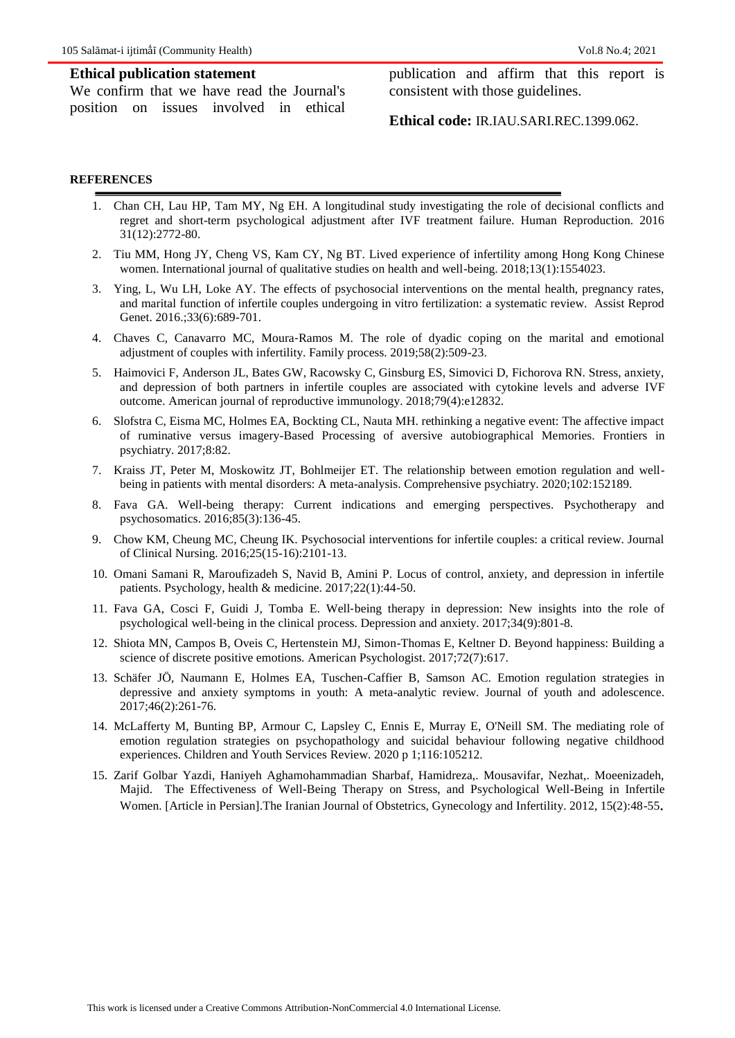#### **Ethical publication statement**

We confirm that we have read the Journal's position on issues involved in ethical publication and affirm that this report is consistent with those guidelines.

**Ethical code:** IR.IAU.SARI.REC.1399.062.

#### **REFERENCES**

- 1. Chan CH, Lau HP, Tam MY, Ng EH. A longitudinal study investigating the role of decisional conflicts and regret and short-term psychological adjustment after IVF treatment failure. Human Reproduction. 2016 31(12):2772-80.
- 2. Tiu MM, Hong JY, Cheng VS, Kam CY, Ng BT. Lived experience of infertility among Hong Kong Chinese women. International journal of qualitative studies on health and well-being. 2018;13(1):1554023.
- 3. Ying, L, Wu LH, Loke AY. The effects of psychosocial interventions on the mental health, pregnancy rates, and marital function of infertile couples undergoing in vitro fertilization: a systematic review. Assist Reprod Genet. 2016.;33(6):689-701.
- 4. Chaves C, Canavarro MC, Moura‐Ramos M. The role of dyadic coping on the marital and emotional adjustment of couples with infertility. Family process. 2019;58(2):509-23.
- 5. Haimovici F, Anderson JL, Bates GW, Racowsky C, Ginsburg ES, Simovici D, Fichorova RN. Stress, anxiety, and depression of both partners in infertile couples are associated with cytokine levels and adverse IVF outcome. American journal of reproductive immunology. 2018;79(4):e12832.
- 6. Slofstra C, Eisma MC, Holmes EA, Bockting CL, Nauta MH. rethinking a negative event: The affective impact of ruminative versus imagery-Based Processing of aversive autobiographical Memories. Frontiers in psychiatry. 2017;8:82.
- 7. Kraiss JT, Peter M, Moskowitz JT, Bohlmeijer ET. The relationship between emotion regulation and wellbeing in patients with mental disorders: A meta-analysis. Comprehensive psychiatry. 2020;102:152189.
- 8. Fava GA. Well-being therapy: Current indications and emerging perspectives. Psychotherapy and psychosomatics. 2016;85(3):136-45.
- 9. Chow KM, Cheung MC, Cheung IK. Psychosocial interventions for infertile couples: a critical review. Journal of Clinical Nursing. 2016;25(15-16):2101-13.
- 10. Omani Samani R, Maroufizadeh S, Navid B, Amini P. Locus of control, anxiety, and depression in infertile patients. Psychology, health & medicine. 2017;22(1):44-50.
- 11. Fava GA, Cosci F, Guidi J, Tomba E. Well‐being therapy in depression: New insights into the role of psychological well‐being in the clinical process. Depression and anxiety. 2017;34(9):801-8.
- 12. Shiota MN, Campos B, Oveis C, Hertenstein MJ, Simon-Thomas E, Keltner D. Beyond happiness: Building a science of discrete positive emotions. American Psychologist. 2017;72(7):617.
- 13. Schäfer JÖ, Naumann E, Holmes EA, Tuschen-Caffier B, Samson AC. Emotion regulation strategies in depressive and anxiety symptoms in youth: A meta-analytic review. Journal of youth and adolescence. 2017;46(2):261-76.
- 14. McLafferty M, Bunting BP, Armour C, Lapsley C, Ennis E, Murray E, O'Neill SM. The mediating role of emotion regulation strategies on psychopathology and suicidal behaviour following negative childhood experiences. Children and Youth Services Review. 2020 p 1;116:105212.
- 15. Zarif Golbar Yazdi, Haniyeh Aghamohammadian Sharbaf, Hamidreza,. Mousavifar, Nezhat,. Moeenizadeh, Majid. The Effectiveness of Well-Being Therapy on Stress, and Psychological Well-Being in Infertile Women. [Article in Persian].The Iranian Journal of Obstetrics, Gynecology and Infertility. 2012, 15(2):48-55.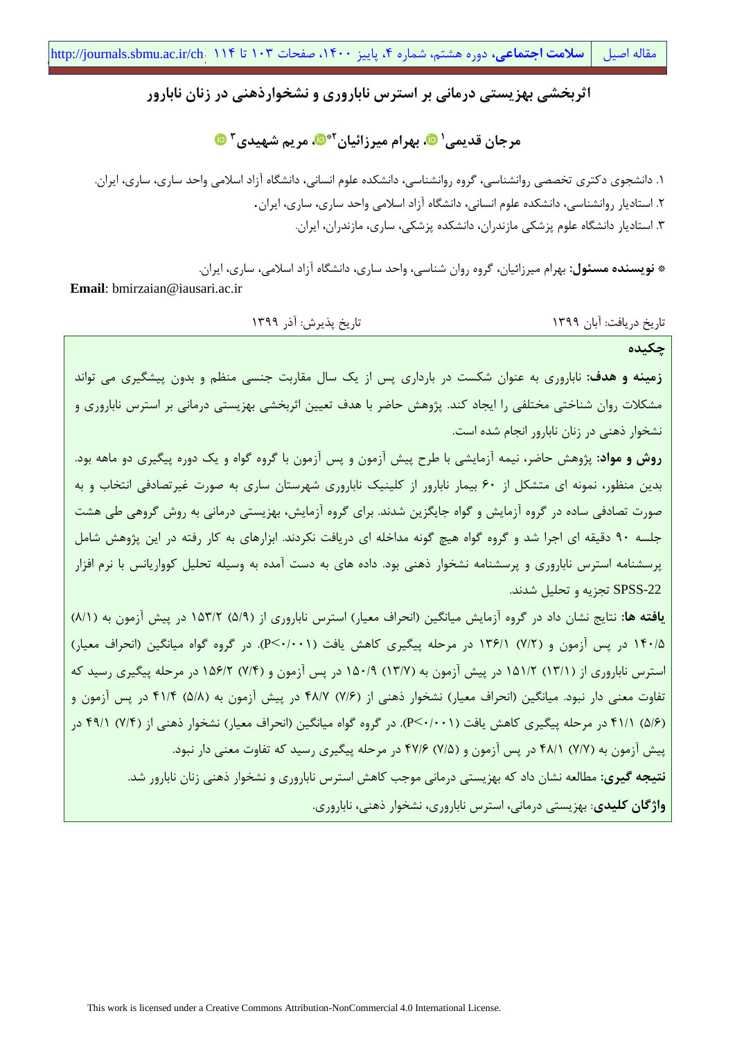# **اثربخشی بهزیستی درمانی بر استرس ناباروری و نشخوارذهنی در زنان نابارور**

**[،](https://orcid.org/0000-0003-1346-5790) بهرام میرزائیان <sup>1</sup> مرجان قدیمی [،](https://orcid.org/0000-0002-1032-4389) مریم شهیدی 2\* 3**

.1 دانشجوی دکتری تخصصی روانشناسی، گروه روانشناسی، دانشکده علوم انسانی، دانشگاه آزاد اسالمی واحد ساری، ساری، ایران. .2 استادیار روانشناسی، دانشکده علوم انسانی، دانشگاه آزاد اسالمی واحد ساری، ساری، ایران. .3 استادیار دانشگاه علوم پزشکی مازندران، دانشکده پزشکی، ساری، مازندران، ایران.

**\* نویسنده مسئول:** بهرام میرزائیان، گروه روان شناسی، واحد ساری، دانشگاه آزاد اسالمی، ساری، ایران. **Email**: bmirzaian@iausari.ac.ir

تاریخ دریافت: آبان 1399 تاریخ پذیرش: آذر 1399

**چکیده**

**زمینه و هدف:** ناباروری به عنوان شکست در بارداری پس از یک سال مقاربت جنسی منظم و بدون پیشگیری می تواند مشکالت روان شناختی مختلفی را ایجاد کند. پژوهش حاضر با هدف تعیین اثربخشی بهزیستی درمانی بر استرس ناباروری و نشخوار ذهنی در زنان نابارور انجام شده است.

**روش و مواد:** پژوهش حاضر، نیمه آزمایشی با طرح پیش آزمون و پس آزمون با گروه گواه و یک دوره پیگیری دو ماهه بود. بدین منظور، نمونه ای متشکل از 60 بیمار نابارور از کلینیک ناباروری شهرستان ساری به صورت غیرتصادفی انتخاب و به صورت تصادفی ساده در گروه آزمایش و گواه جایگزین شدند. برای گروه آزمایش، بهزیستی درمانی به روش گروهی طی هشت جلسه 90 دقیقه ای اجرا شد و گروه گواه هیچ گونه مداخله ای دریافت نکردند. ابزارهای به کار رفته در این پژوهش شامل پرسشنامه استرس ناباروری و پرسشنامه نشخوار ذهنی بود. داده های به دست آمده به وسیله تحلیل کوواریانس با نرم افزار -22SPSS تجزیه و تحلیل شدند.

**یافته ها:** نتایج نشان داد در گروه آزمایش میانگین (انحراف معیار) استرس ناباروری از (۵/۹) ۱۵۳/۲ در پیش آزمون به (۸/۱) 140/5 در پس آزمون و )7/2( 136/1 در مرحله پیگیری کاهش یافت )0/001<P). در گروه گواه میانگین )انحراف معیار( استرس ناباروری از )13/1( 151/2 در پیش آزمون به )13/7( 150/9 در پس آزمون و )7/4( 156/2 در مرحله پیگیری رسید که تفاوت معنی دار نبود. میانگین (انحراف معیار) نشخوار ذهنی از (۲/۶) ۴۸/۷ در پیش آزمون به (۵/۸) ۴۱/۴ در پس آزمون و )5/6( 41/1 در مرحله پیگیری کاهش یافت )0/001<P). در گروه گواه میانگین )انحراف معیار( نشخوار ذهنی از )7/4( 49/1 در پیش آزمون به (۷/۷) ۴۸/۱ در پس آزمون و (۷/۵) ۴۷/۶ در مرحله پیگیری رسید که تفاوت معنی دار نبود. **نتیجه گیری:** مطالعه نشان داد که بهزیستی درمانی موجب کاهش استرس ناباروری و نشخوار ذهنی زنان نابارور شد. **واژگان کلیدی**: بهزیستی درمانی، استرس ناباروری، نشخوار ذهنی، ناباروری.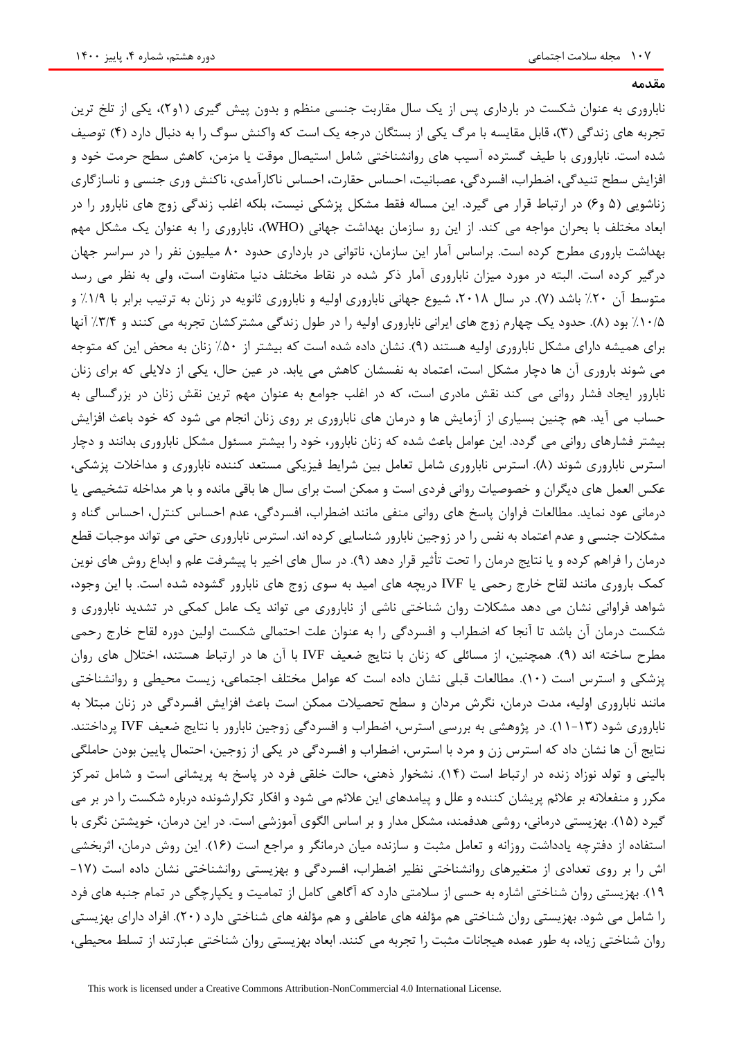**مقدمه**

ناباروری به عنوان شکست در بارداری پس از یک سال مقاربت جنسی منظم و بدون پیش گیری )1و2(، یکی از تلخ ترین تجربه های زندگی (۳)، قابل مقایسه با مرگ یکی از بستگان درجه یک است که واکنش سوگ را به دنبال دارد (۴) توصیف شده است. ناباروری با طیف گسترده آسیب های روانشناختی شامل استیصال موقت یا مزمن، کاهش سطح حرمت خود و افزایش سطح تنیدگی، اضطراب، افسردگی، عصبانیت، احساس حقارت، احساس ناکارآمدی، ناکنش وری جنسی و ناسازگاری زناشویی (۵ و۶) در ارتباط قرار می گیرد. این مساله فقط مشکل پزشکی نیست، بلکه اغلب زندگی زوج های نابارور را در ابعاد مختلف با بحران مواجه می کند. از این رو سازمان بهداشت جهانی )WHO)، ناباروری را به عنوان یک مشکل مهم بهداشت باروری مطرح کرده است. براساس آمار این سازمان، ناتوانی در بارداری حدود 80 میلیون نفر را در سراسر جهان درگیر کرده است. البته در مورد میزان ناباروری آمار ذکر شده در نقاط مختلف دنیا متفاوت است، ولی به نظر می رسد متوسط آن %20 باشد )7(. در سال ،2018 شیوع جهانی ناباروری اولیه و ناباروری ثانویه در زنان به ترتیب برابر با %1/9 و %10/5 بود )8(. حدود یک چهارم زوج های ایرانی ناباروری اولیه را در طول زندگی مشترکشان تجربه می کنند و %3/4 آنها برای همیشه دارای مشکل ناباروری اولیه هستند (۹). نشان داده شده است که بیشتر از ۵۰٪ زنان به محض این که متوجه می شوند باروری آن ها دچار مشکل است، اعتماد به نفسشان کاهش می یابد. در عین حال، یکی از دالیلی که برای زنان نابارور ایجاد فشار روانی می کند نقش مادری است، که در اغلب جوامع به عنوان مهم ترین نقش زنان در بزرگسالی به حساب می آید. هم چنین بسیاری از آزمایش ها و درمان های ناباروری بر روی زنان انجام می شود که خود باعث افزایش بیشتر فشارهای روانی می گردد. این عوامل باعث شده که زنان نابارور، خود را بیشتر مسئول مشکل ناباروری بدانند و دچار استرس ناباروری شوند (٨). استرس ناباروری شامل تعامل بین شرایط فیزیکی مستعد کننده ناباروری و مداخلات پزشکی، عکس العمل های دیگران و خصوصیات روانی فردی است و ممکن است برای سال ها باقی مانده و با هر مداخله تشخیصی یا درمانی عود نماید. مطالعات فراوان پاسخ های روانی منفی مانند اضطراب، افسردگی، عدم احساس کنترل، احساس گناه و مشکالت جنسی و عدم اعتماد به نفس را در زوجین نابارور شناسایی کرده اند. استرس ناباروری حتی می تواند موجبات قطع درمان را فراهم کرده و یا نتایج درمان را تحت تأثیر قرار دهد (۹). در سال های اخیر با پیشرفت علم و ابداع روش های نوین کمک باروری مانند لقاح خارج رحمی یا IVF دریچه های امید به سوی زوج های نابارور گشوده شده است. با این وجود، شواهد فراوانی نشان می دهد مشکالت روان شناختی ناشی از ناباروری می تواند یک عامل کمکی در تشدید ناباروری و شکست درمان آن باشد تا آنجا که اضطراب و افسردگی را به عنوان علت احتمالی شکست اولین دوره لقاح خارج رحمی مطرح ساخته اند )9(. همچنین، از مسائلی که زنان با نتایج ضعیف IVF با آن ها در ارتباط هستند، اختالل های روان پزشکی و استرس است (۱۰). مطالعات قبلی نشان داده است که عوامل مختلف اجتماعی، زیست محیطی و روانشناختی مانند ناباروری اولیه، مدت درمان، نگرش مردان و سطح تحصیالت ممکن است باعث افزایش افسردگی در زنان مبتال به ناباروری شود )11-13(. در پژوهشی به بررسی استرس، اضطراب و افسردگی زوجین نابارور با نتایج ضعیف IVF پرداختند. نتایج آن ها نشان داد که استرس زن و مرد با استرس، اضطراب و افسردگی در یکی از زوجین، احتمال پایین بودن حاملگی بالینی و تولد نوزاد زنده در ارتباط است )14(. نشخوار ذهنی، حالت خلقی فرد در پاسخ به پریشانی است و شامل تمرکز مکرر و منفعالنه بر عالئم پریشان کننده و علل و پیامدهای این عالئم می شود و افکار تکرارشونده درباره شکست را در بر می گیرد )15(. بهزیستی درمانی، روشی هدفمند، مشکل مدار و بر اساس الگوی آموزشی است. در این درمان، خویشتن نگری با استفاده از دفترچه یادداشت روزانه و تعامل مثبت و سازنده میان درمانگر و مراجع است )16(. این روش درمان، اثربخشی اش را بر روی تعدادی از متغیرهای روانشناختی نظیر اضطراب، افسردگی و بهزیستی روانشناختی نشان داده است )-17 19(. بهزیستی روان شناختی اشاره به حسی از سالمتی دارد که آگاهی کامل از تمامیت و یکپارچگی در تمام جنبه های فرد را شامل می شود. بهزیستی روان شناختی هم مؤلفه های عاطفی و هم مؤلفه های شناختی دارد )20(. افراد دارای بهزیستی روان شناختی زیاد، به طور عمده هیجانات مثبت را تجربه می کنند. ابعاد بهزیستی روان شناختی عبارتند از تسلط محیطی،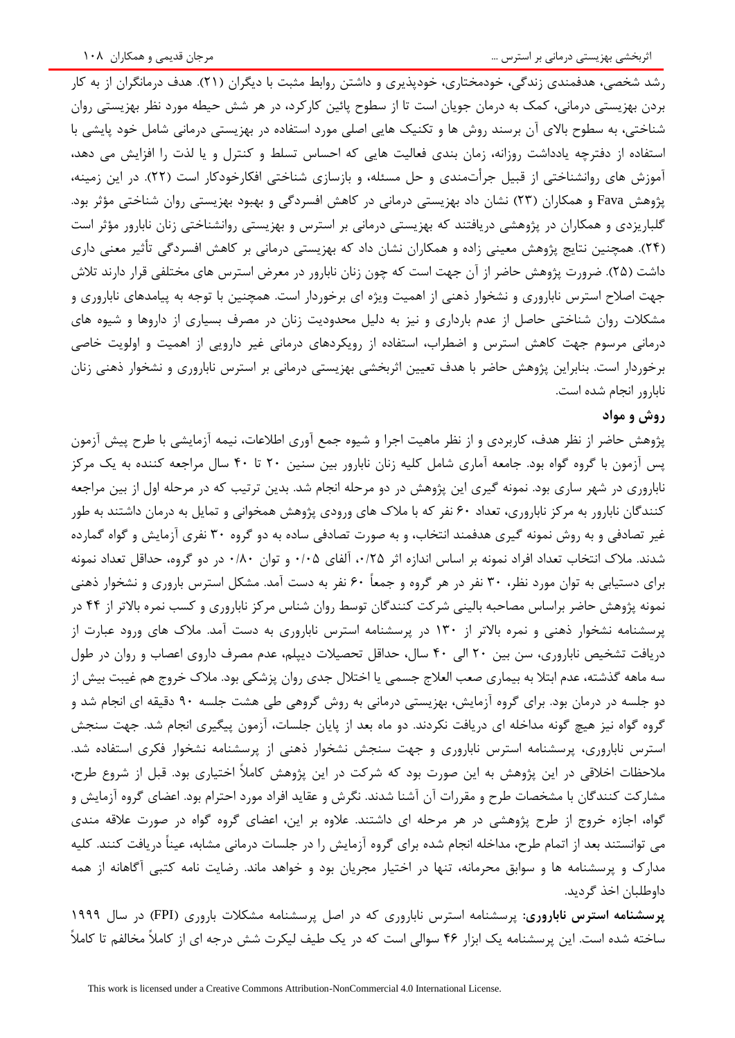رشد شخصی، هدفمندی زندگی، خودمختاری، خودپذیری و داشتن روابط مثبت با دیگران (۲۱). هدف درمانگران از به کار بردن بهزیستی درمانی، کمک به درمان جویان است تا از سطوح پائین کارکرد، در هر شش حیطه مورد نظر بهزیستی روان شناختی، به سطوح باالی آن برسند روش ها و تکنیک هایی اصلی مورد استفاده در بهزیستی درمانی شامل خود پایشی با استفاده از دفترچه یادداشت روزانه، زمان بندی فعالیت هایی که احساس تسلط و کنترل و یا لذت را افزایش می دهد، آموزش های روانشناختی از قبیل جرأتمندی و حل مسئله، و بازسازی شناختی افکارخودکار است )22(. در این زمینه، پژوهش Fava و همکاران (۲۳) نشان داد بهزیستی درمانی در کاهش افسردگی و بهبود بهزیستی روان شناختی مؤثر بود. گلباریزدی و همکاران در پژوهشی دریافتند که بهزیستی درمانی بر استرس و بهزیستی روانشناختی زنان نابارور مؤثر است )24(. همچنین نتایج پژوهش معینی زاده و همکاران نشان داد که بهزیستی درمانی بر کاهش افسردگی تأثیر معنی داری داشت (۲۵). ضرورت پژوهش حاضر از آن جهت است که چون زنان نابارور در معرض استرس های مختلفی قرار دارند تلاش جهت اصالح استرس ناباروری و نشخوار ذهنی از اهمیت ویژه ای برخوردار است. همچنین با توجه به پیامدهای ناباروری و مشکالت روان شناختی حاصل از عدم بارداری و نیز به دلیل محدودیت زنان در مصرف بسیاری از داروها و شیوه های درمانی مرسوم جهت کاهش استرس و اضطراب، استفاده از رویکردهای درمانی غیر دارویی از اهمیت و اولویت خاصی برخوردار است. بنابراین پژوهش حاضر با هدف تعیین اثربخشی بهزیستی درمانی بر استرس ناباروری و نشخوار ذهنی زنان نابارور انجام شده است.

# **روش و مواد**

پژوهش حاضر از نظر هدف، کاربردی و از نظر ماهیت اجرا و شیوه جمع آوری اطالعات، نیمه آزمایشی با طرح پیش آزمون پس آزمون با گروه گواه بود. جامعه آماری شامل کلیه زنان نابارور بین سنین 20 تا 40 سال مراجعه کننده به یک مرکز ناباروری در شهر ساری بود. نمونه گیری این پژوهش در دو مرحله انجام شد. بدین ترتیب که در مرحله اول از بین مراجعه کنندگان نابارور به مرکز ناباروری، تعداد 60 نفر که با مالک های ورودی پژوهش همخوانی و تمایل به درمان داشتند به طور غیر تصادفی و به روش نمونه گیری هدفمند انتخاب، و به صورت تصادفی ساده به دو گروه 30 نفری آزمایش و گواه گمارده شدند. مالک انتخاب تعداد افراد نمونه بر اساس اندازه اثر ،0/25 آلفای 0/05 و توان 0/80 در دو گروه، حداقل تعداد نمونه برای دستیابی به توان مورد نظر، 30 نفر در هر گروه و جمعاً 60 نفر به دست آمد. مشکل استرس باروری و نشخوار ذهنی نمونه پژوهش حاضر براساس مصاحبه بالینی شرکت کنندگان توسط روان شناس مرکز ناباروری و کسب نمره باالتر از 44 در پرسشنامه نشخوار ذهنی و نمره باالتر از 130 در پرسشنامه استرس ناباروری به دست آمد. مالک های ورود عبارت از دریافت تشخیص ناباروری، سن بین 20 الی 40 سال، حداقل تحصیالت دیپلم، عدم مصرف داروی اعصاب و روان در طول سه ماهه گذشته، عدم ابتال به بیماری صعب العالج جسمی یا اختالل جدی روان پزشکی بود. مالک خروج هم غیبت بیش از دو جلسه در درمان بود. برای گروه آزمایش، بهزیستی درمانی به روش گروهی طی هشت جلسه 90 دقیقه ای انجام شد و گروه گواه نیز هیچ گونه مداخله ای دریافت نکردند. دو ماه بعد از پایان جلسات، آزمون پیگیری انجام شد. جهت سنجش استرس ناباروری، پرسشنامه استرس ناباروری و جهت سنجش نشخوار ذهنی از پرسشنامه نشخوار فکری استفاده شد. مالحظات اخالقی در این پژوهش به این صورت بود که شرکت در این پژوهش کامالً اختیاری بود. قبل از شروع طرح، مشارکت کنندگان با مشخصات طرح و مقررات آن آشنا شدند. نگرش و عقاید افراد مورد احترام بود. اعضای گروه آزمایش و گواه، اجازه خروج از طرح پژوهشی در هر مرحله ای داشتند. عالوه بر این، اعضای گروه گواه در صورت عالقه مندی می توانستند بعد از اتمام طرح، مداخله انجام شده برای گروه آزمایش را در جلسات درمانی مشابه، عیناً دریافت کنند. کلیه مدارک و پرسشنامه ها و سوابق محرمانه، تنها در اختیار مجریان بود و خواهد ماند. رضایت نامه کتبی آگاهانه از همه داوطلبان اخذ گردید.

**پرسشنامه استرس ناباروری:** پرسشنامه استرس ناباروری که در اصل پرسشنامه مشکالت باروری )FPI )در سال 1999 ساخته شده است. این پرسشنامه یک ابزار 46 سوالی است که در یک طیف لیکرت شش درجه ای از کامالً مخالفم تا کامالً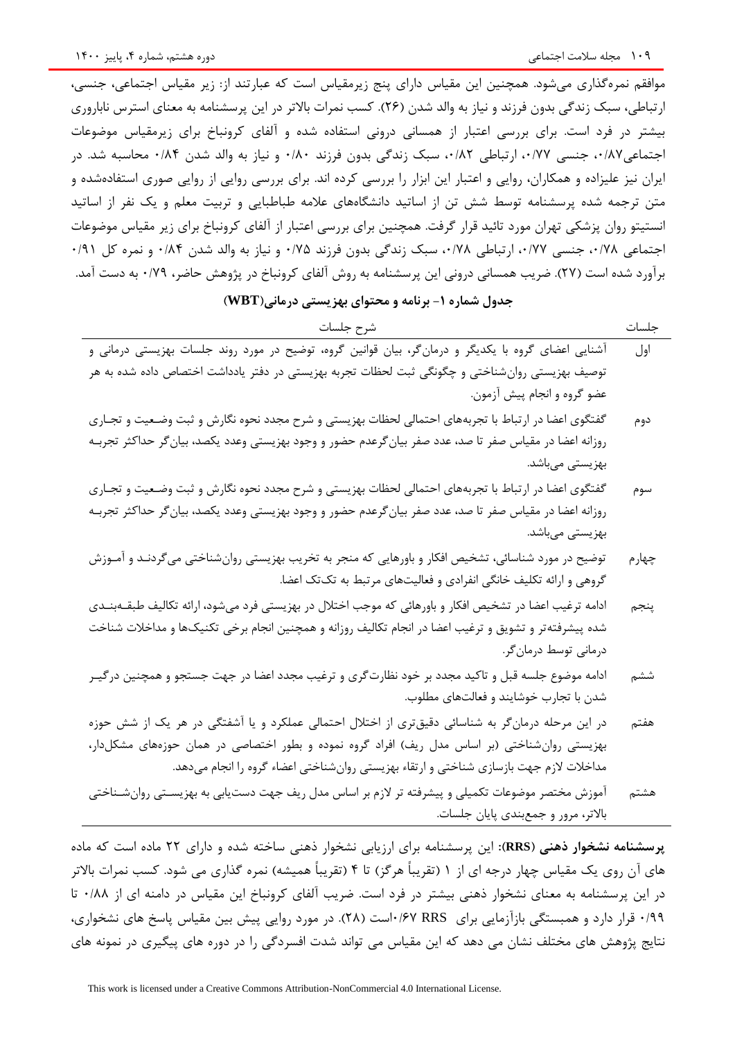موافقم نمرهگذاری میشود. همچنین این مقیاس دارای پنج زیرمقیاس است که عبارتند از: زیر مقیاس اجتماعی، جنسی، ارتباطی، سبک زندگی بدون فرزند و نیاز به والد شدن (۲۶). کسب نمرات بالاتر در این پرسشنامه به معنای استرس ناباروری بیشتر در فرد است. برای بررسی اعتبار از همسانی درونی استفاده شده و آلفای کرونباخ برای زیرمقیاس موضوعات اجتماعی۸۷/۰، جنسی ۰/۷۷ ارتباطی ۰/۸۲ سبک زندگی بدون فرزند ۰/۸۰ و نیاز به والد شدن ۰/۸۴ محاسبه شد. در ایران نیز علیزاده و همکاران، روایی و اعتبار این ابزار را بررسی کرده اند. برای بررسی روایی از روایی صوری استفادهشده و متن ترجمه شده پرسشنامه توسط شش تن از اساتید دانشگاههای عالمه طباطبایی و تربیت معلم و یک نفر از اساتید انستیتو روان پزشکی تهران مورد تائید قرار گرفت. همچنین برای بررسی اعتبار از آلفای کرونباخ برای زیر مقیاس موضوعات اجتماعی ،0/78 جنسی ،0/77 ارتباطی ،0/78 سبک زندگی بدون فرزند 0/75 و نیاز به والد شدن 0/84 و نمره کل 0/91 برآورد شده است )27(. ضریب همسانی درونی این پرسشنامه به روش آلفای کرونباخ در پژوهش حاضر، 0/79 به دست آمد.

# **جدول شماره -1 برنامه و محتوای بهزیستی درمانی)WBT)**

جلسات شرح جلسات

| . .<br>w | um. |
|----------|-----|
|          |     |

- اول آشنایی اعضای گروه با یکدیگر و درمانگر، بیان قوانین گروه، توضیح در مورد روند جلسات بهزیستی درمانی و توصیف بهزیستی روانشناختی و چگونگی ثبت لحظات تجربه بهزیستی در دفتر یادداشت اختصاص داده شده به هر عضو گروه و انجام پیش آزمون.
- دوم گفتگوی اعضا در ارتباط با تجربههای احتمالی لحظات بهزیستی و شرح مجدد نحوه نگارش و ثبت وضععیت و تجعاری روزانه اعضا در مقیاس صفر تا صد، عدد صفر بیانگرعدم حضور و وجود بهزیستی وعدد یکصد، بیانگر حداکثر تجربعه بهزیستی میباشد.
- سوم گفتگوی اعضا در ارتباط با تجربههای احتمالی لحظات بهزیستی و شرح مجدد نحوه نگارش و ثبت وضععیت و تجعاری روزانه اعضا در مقیاس صفر تا صد، عدد صفر بیانگرعدم حضور و وجود بهزیستی وعدد یکصد، بیانگر حداکثر تجربعه بهزیستی میباشد.
- چهارم توضیح در مورد شناسائی، تشخیص افکار و باورهایی که منجر به تخریب بهزیستی روانشناختی میگردنعد و آمعوزش گروهی و ارائه تکلیف خانگی انفرادی و فعالیتهای مرتبط به تکتک اعضا.
- پنجم ادامه ترغیب اعضا در تشخیص افکار و باورهائی که موجب اختالل در بهزیستی فرد میشود، ارائه تکالیف طبقعه بنعدی شده پیشرفتهتر و تشویق و ترغیب اعضا در انجام تکالیف روزانه و همچنین انجام برخی تکنیکها و مداخالت شناخت درمانی توسط درمانگر.
- ششم ادامه موضوع جلسه قبل و تاکید مجدد بر خود نظارتگری و ترغیب مجدد اعضا در جهت جستجو و همچنین درگیعر شدن با تجارب خوشایند و فعالتهای مطلوب.
- هفتم در این مرحله درمانگر به شناسائی دقیقتری از اختالل احتمالی عملکرد و یا آشفتگی در هر یک از شش حوزه بهزیستی روانشناختی (بر اساس مدل ریف) افراد گروه نموده و بطور اختصاصی در همان حوزههای مشکلدار، مداخلات لازم جهت بازسازی شناختی و ارتقاء بهزیستی روان شناختی اعضاء گروه را انجام می دهد.
- هشتم آموزش مختصر موضوعات تکمیلی و پیشرفته تر الزم بر اساس مدل ریف جهت دستیابی به بهزیسعتی روان شعناختی باالتر، مرور و جمعبندی پایان جلسات.

**پرسشنامه نشخوار ذهنی )RRS):** این پرسشنامه برای ارزیابی نشخوار ذهنی ساخته شده و دارای 22 ماده است که ماده های آن روی یک مقیاس چهار درجه ای از ۱ (تقریباً هرگز) تا ۴ (تقریباً همیشه) نمره گذاری می شود. کسب نمرات بالاتر در این پرسشنامه به معنای نشخوار ذهنی بیشتر در فرد است. ضریب آلفای کرونباخ این مقیاس در دامنه ای از 0/88 تا 0/99 قرار دارد و همبستگی بازآزمایی برای RRS 0/67است )28(. در مورد روایی پیش بین مقیاس پاسخ های نشخواری، نتایج پژوهش های مختلف نشان می دهد که این مقیاس می تواند شدت افسردگی را در دوره های پیگیری در نمونه های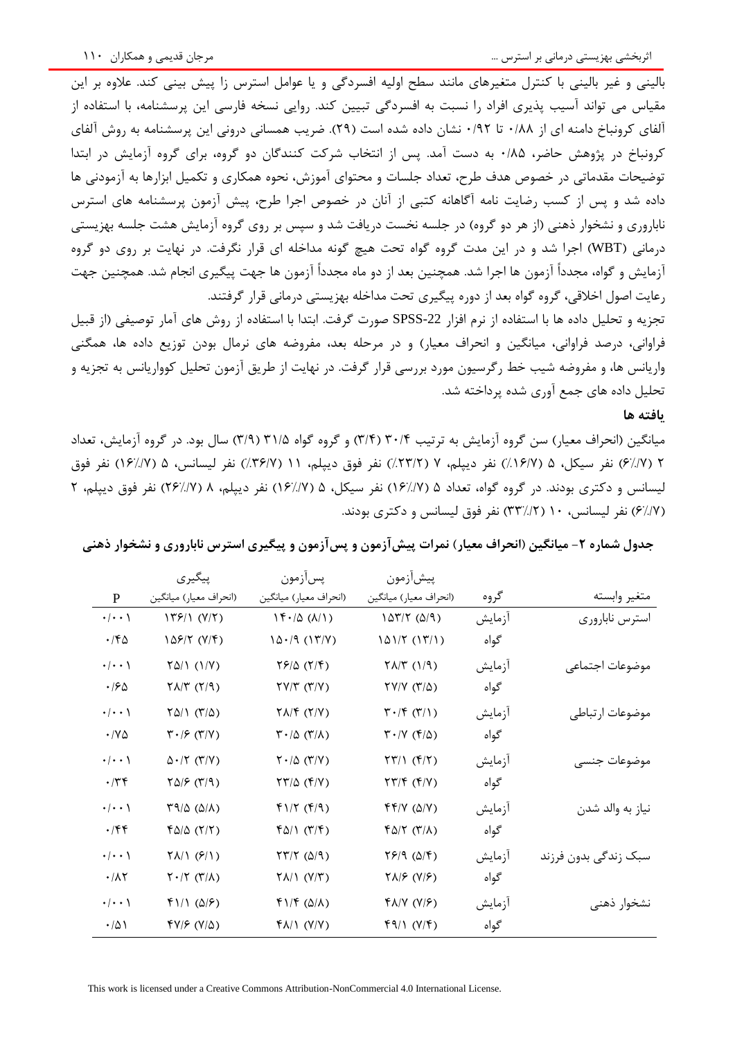بالینی و غیر بالینی با کنترل متغیرهای مانند سطح اولیه افسردگی و یا عوامل استرس زا پیش بینی کند. عالوه بر این مقیاس می تواند آسیب پذیری افراد را نسبت به افسردگی تبیین کند. روایی نسخه فارسی این پرسشنامه، با استفاده از آلفای کرونباخ دامنه ای از 0/88 تا 0/92 نشان داده شده است )29(. ضریب همسانی درونی این پرسشنامه به روش آلفای کرونباخ در پژوهش حاضر، 0/85 به دست آمد. پس از انتخاب شرکت کنندگان دو گروه، برای گروه آزمایش در ابتدا توضیحات مقدماتی در خصوص هدف طرح، تعداد جلسات و محتوای آموزش، نحوه همکاری و تکمیل ابزارها به آزمودنی ها داده شد و پس از کسب رضایت نامه آگاهانه کتبی از آنان در خصوص اجرا طرح، پیش آزمون پرسشنامه های استرس ناباروری و نشخوار ذهنی (از هر دو گروه) در جلسه نخست دریافت شد و سپس بر روی گروه آزمایش هشت جلسه بهزیستی درمانی )WBT )اجرا شد و در این مدت گروه گواه تحت هیچ گونه مداخله ای قرار نگرفت. در نهایت بر روی دو گروه آزمایش و گواه، مجدداً آزمون ها اجرا شد. همچنین بعد از دو ماه مجدداً آزمون ها جهت پیگیری انجام شد. همچنین جهت رعایت اصول اخالقی، گروه گواه بعد از دوره پیگیری تحت مداخله بهزیستی درمانی قرار گرفتند.

تجزیه و تحلیل داده ها با استفاده از نرم افزار SPSS-22 صورت گرفت. ابتدا با استفاده از روش های آمار توصیفی (از قبیل فراوانی، درصد فراوانی، میانگین و انحراف معیار) و در مرحله بعد، مفروضه های نرمال بودن توزیع داده ها، همگنی واریانس ها، و مفروضه شیب خط رگرسیون مورد بررسی قرار گرفت. در نهایت از طریق آزمون تحلیل کوواریانس به تجزیه و تحلیل داده های جمع آوری شده پرداخته شد.

#### **یافته ها**

میانگین )انحراف معیار( سن گروه آزمایش به ترتیب 30/4 )3/4( و گروه گواه 31/5 )3/9( سال بود. در گروه آزمایش، تعداد 2 )6%/7( نفر سیکل، 5 )%16/7( نفر دیپلم، 7 )%23/2( نفر فوق دیپلم، 11 )%36/7( نفر لیسانس، 5 )16%/7( نفر فوق لیسانس و دکتری بودند. در گروه گواه، تعداد ۵ (۱۶//۷) نفر سیکل، ۵ (۱۶//۷) نفر دیپلم، ۸ (۲///۷) نفر فوق دیپلم، ۲ )6%/7( نفر لیسانس، 10 )33%/2( نفر فوق لیسانس و دکتری بودند.

|                      | پیگیری                                                | پسأزمون                                                          | پيشأزمون                                                 |        |                      |
|----------------------|-------------------------------------------------------|------------------------------------------------------------------|----------------------------------------------------------|--------|----------------------|
| ${\bf P}$            | (انحراف معيار) ميانگين                                | (انحراف معيار) ميانگين                                           | (انحراف معيار) ميانگين                                   | گروه   | متغير وابسته         |
| $\cdot/\cdot\cdot$ \ | 179/1 (Y/Y)                                           | $\left(\frac{\lambda}{\lambda}\right)$ ( $\lambda$ /)            | $107/7$ $(0/9)$                                          | آزمايش | استرس نابارورى       |
| $\cdot$ /۴۵          | 128/۲ (۷/۴)                                           | 10.79(17/7)                                                      | (۱۳/۱) ۱۵۱/۲                                             | گواه   |                      |
| $\cdot/\cdot\cdot$ ) | $Y\Delta/\Upsilon (1/V)$                              | $\frac{5}{2}$                                                    | $\Gamma(\beta)(\gamma)$                                  | آزمايش | موضوعات اجتماعي      |
| ۱۶۵                  | $\gamma \lambda/\gamma$ ( $\gamma$ /۹)                | $\Upsilon V/\Upsilon$ $(\Upsilon/V)$                             | $\Upsilon V/V$ ( $\Upsilon/\Delta$ )                     | گواه   |                      |
| $\cdot/\cdot\cdot$ ) | $\Upsilon \Delta / \Upsilon \; (\Upsilon / \Delta)$   | $\Upsilon \Lambda / \Upsilon$ ( $\Upsilon / \Upsilon$ )          | $\Gamma \cdot / \Gamma (\Gamma / 1)$                     | آزمايش | موضوعات ارتباطي      |
| ۰/۷۵                 | $\mathbf{Y} \cdot \mathbf{S}$ (۳/۷)                   | $\mathsf{r}\cdot\mathsf{r}\circ\mathsf{r}\circ\mathsf{r}$        | $\mathbf{Y} \cdot (\mathbf{Y} \times \mathbf{Y})$        | گواه   |                      |
| $\cdot/\cdot\cdot$   | $\Delta \cdot / \Upsilon$ ( $\Upsilon / \Upsilon$ )   | $\Upsilon \cdot / \Delta$ ( $\Upsilon / \Upsilon$ )              | $\Upsilon(\Upsilon)$ ( $\Upsilon(\Upsilon)$              | آزمايش | موضوعات جنسى         |
| $\cdot$ /۳۴          | $\Gamma \Delta \beta$ (۳/۹)                           | $\langle \nabla \mathbf{Y} \rangle \Delta$ $(\nabla \mathbf{Y})$ | $\uparrow \uparrow / \uparrow$ ( $\uparrow / \uparrow$ ) | گواه   |                      |
| $\cdot/\cdot\cdot$ \ | $\Gamma$ 9/0 ( $\Delta$ / $\Lambda$ )                 | $f(1/7)$ $(f(9))$                                                | f(f V(G V))                                              | آزمايش | نياز به والد شدن     |
| $\cdot$ /۴۴          | FQ/Q (Y/Y)                                            | $f \Delta / \Lambda$ (۳/۴)                                       | $f \Delta/\Upsilon$ (۳/۸)                                | گواه   |                      |
| $\cdot/\cdot\cdot$   | $\uparrow \uplambda / \uparrow (\uparrow / \uparrow)$ | $\Upsilon \Upsilon / \Upsilon$ ( $\Delta / 9$ )                  | (۵/۴ (۵/۴                                                | آزمايش | سبک زندگی بدون فرزند |
| $\cdot/\lambda\tau$  | $\Upsilon \cdot / \Upsilon$ ( $\Upsilon / \Lambda$ )  | $\Upsilon \Lambda / \Upsilon$ $(\Upsilon / \Upsilon)$            | $\gamma \Lambda / \mathcal{F}$ (Y/ $\mathcal{F}$ )       | گواه   |                      |
| $\cdot/\cdot\cdot$   | $f\1$ ( $\Delta$ / $f$ )                              | $f1/F(\Delta/\Lambda)$                                           | $f\Lambda/V$ ( $Y/F$ )                                   | آزمايش | نشخوار ذهنى          |
| $\cdot/\Delta$       | $fV/F (V/\Delta)$                                     | $f\Lambda/\Lambda$ (Y/Y)                                         | 49/1 (Y/F)                                               | گواه   |                      |

**جدول شماره -2 میانگین )انحراف معیار( نمرات پیشآزمون و پسآزمون و پیگیری استرس ناباروری و نشخوار ذهنی**

This work is licensed under a Creative Commons Attribution-NonCommercial 4.0 International License.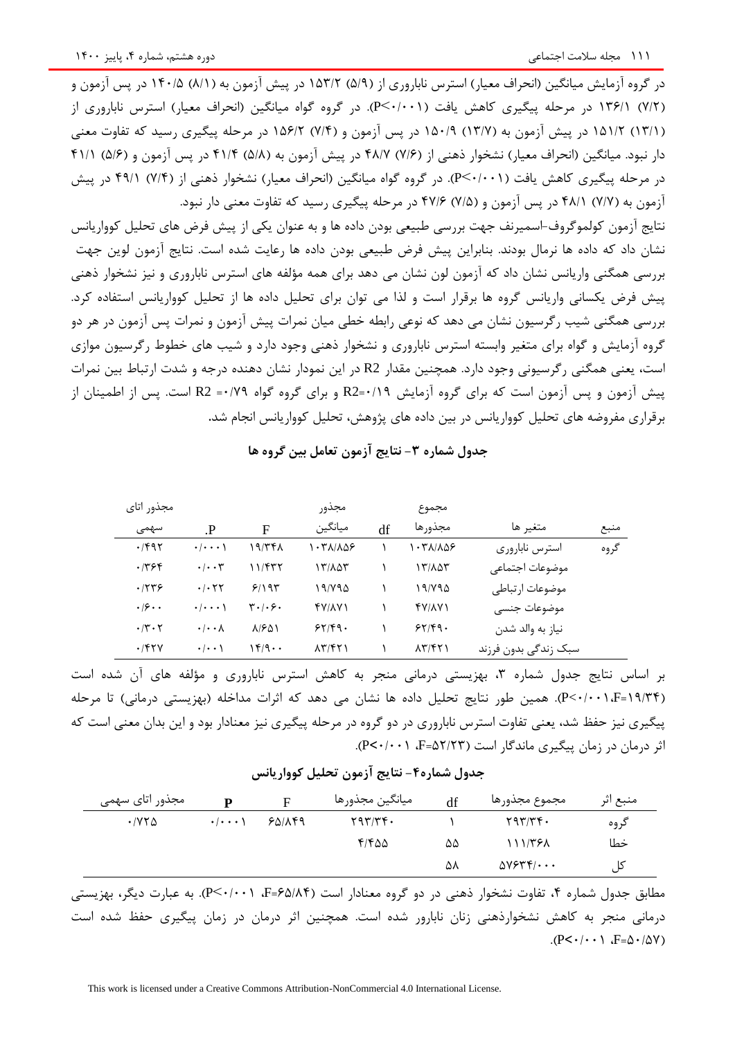در گروه آزمایش میانگین (انحراف معیار) استرس ناباروری از (۵/۹) ۱۵۳/۲ در پیش آزمون به (۸/۱) ۱۴۰/۵ در پس آزمون و )7/2( 136/1 در مرحله پیگیری کاهش یافت )0/001<P). در گروه گواه میانگین )انحراف معیار( استرس ناباروری از )13/1( 151/2 در پیش آزمون به )13/7( 150/9 در پس آزمون و )7/4( 156/2 در مرحله پیگیری رسید که تفاوت معنی دار نبود. میانگین (انحراف معیار) نشخوار ذهنی از (۷/۶) ۴۸/۷ در پیش آزمون به (۵/۸) ۴۱/۴ در پس آزمون و (۵/۶) ۴۱/۱ در مرحله پیگیری کاهش یافت )0/001<P). در گروه گواه میانگین )انحراف معیار( نشخوار ذهنی از )7/4( 49/1 در پیش آزمون به (٧/٧) ۴۸/۱ در پس آزمون و (٧/٤) ۴۷/۶ در مرحله پیگیری رسید که تفاوت معنی دار نبود.

نتایج آزمون کولموگروف-اسمیرنف جهت بررسی طبیعی بودن داده ها و به عنوان یکی از پیش فرض های تحلیل کوواریانس نشان داد که داده ها نرمال بودند. بنابراین پیش فرض طبیعی بودن داده ها رعایت شده است. نتایج آزمون لوین جهت بررسی همگنی واریانس نشان داد که آزمون لون نشان می دهد برای همه مؤلفه های استرس ناباروری و نیز نشخوار ذهنی پیش فرض یکسانی واریانس گروه ها برقرار است و لذا می توان برای تحلیل داده ها از تحلیل کوواریانس استفاده کرد. بررسی همگنی شیب رگرسیون نشان می دهد که نوعی رابطه خطی میان نمرات پیش آزمون و نمرات پس آزمون در هر دو گروه آزمایش و گواه برای متغیر وابسته استرس ناباروری و نشخوار ذهنی وجود دارد و شیب های خطوط رگرسیون موازی است، یعنی همگنی رگرسیونی وجود دارد. همچنین مقدار 2R در این نمودار نشان دهنده درجه و شدت ارتباط بین نمرات پیش آزمون و پس آزمون است که برای گروه آزمایش 0/19=2R و برای گروه گواه 0/79= 2R است. پس از اطمینان از برقراری مفروضه های تحلیل کوواریانس در بین داده های پژوهش، تحلیل کوواریانس انجام شد**.**

#### **جدول شماره -3 نتایج آزمون تعامل بین گروه ها**

| مجذور اتاى           |                             |                                                | مجذور                                  |    | مجموع                                  |                      |      |
|----------------------|-----------------------------|------------------------------------------------|----------------------------------------|----|----------------------------------------|----------------------|------|
| سهمى                 | $\mathbf{P}$                | F                                              | ميانگين                                | df | مجذورها                                | متغير ها             | منبع |
| ۰/۴۹۲                | $\cdot$ / $\cdot$ $\cdot$ \ | ۱۹/۳۴۸                                         | ۱۰۳۸/۸۵۶                               |    | $\cdot$ ۳۸/۸۵۶                         | استرس نابارورى       | گروه |
| ۰/۳۶۴                | $\cdot$ / $\cdot$ $\tau$    | ۱۱/۴۳۲                                         | ۱۳/۸۵۳                                 |    | ۱۳/۸۵۳                                 | موضوعات اجتماعي      |      |
| .759                 | .75                         | 5/195                                          | ۱۹/۷۹۵                                 |    | ۱۹/۷۹۵                                 | موضوعات ارتباطي      |      |
| .19                  | $\cdot/\cdot\cdot\cdot$     | $\mathbf{r} \cdot \mathbf{0} \cdot \mathbf{r}$ | FV/AV1                                 |    | <b>FVIAVI</b>                          | موضوعات جنسى         |      |
| $\cdot$ /۳ $\cdot$ ۲ | $\cdot$ / $\cdot$ $\wedge$  | 81601                                          | 55/9.                                  |    | 55/9.                                  | نياز به والد شدن     |      |
| .751                 | $\cdot$ $\cdot$ \           | $149 \cdots$                                   | $\lambda \Upsilon / \Upsilon \Upsilon$ |    | $\lambda \Upsilon / \Upsilon \Upsilon$ | سبک زندگی بدون فرزند |      |

بر اساس نتایج جدول شماره ،3 بهزیستی درمانی منجر به کاهش استرس ناباروری و مؤلفه های آن شده است )19/34=F0/001،<P). همین طور نتایج تحلیل داده ها نشان می دهد که اثرات مداخله )بهزیستی درمانی( تا مرحله پیگیری نیز حفظ شد، یعنی تفاوت استرس ناباروری در دو گروه در مرحله پیگیری نیز معنادار بود و این بدان معنی است که اثر درمان در زمان پیگیری ماندگار است )52/23=F، 0/001<P).

**جدول شماره-4 نتایج آزمون تحلیل کوواریانس**

| مجذور اتای سهمی                  | D                                       |        | ميانگين مجذورها | df | مجموع مجذورها            | منبع اثر |
|----------------------------------|-----------------------------------------|--------|-----------------|----|--------------------------|----------|
| $\cdot$ / $\vee$ $\vee$ $\wedge$ | $\cdot$ $\cdot$ $\cdot$ $\cdot$ $\cdot$ | 80/149 | 797/Tf.         |    | 597/T                    | گروه     |
|                                  |                                         |        | ۴۱۴۵۵           | ۵۵ | ۱۱۱/۳۶۸                  | خطا      |
|                                  |                                         |        |                 | ۵۸ | $\Delta V$ ۶۳۴/ $\cdots$ | کل       |

مطابق جدول شماره ۴، تفاوت نشخوار ذهنی در دو گروه معنادار است (۴۵/۸۴=F، ۱۰۰۱×P). به عبارت دیگر، بهزیستی درمانی منجر به کاهش نشخوارذهنی زنان نابارور شده است. همچنین اثر درمان در زمان پیگیری حفظ شده است  $(P<\cdot/\cdot \cdot)$   $F=\Delta \cdot/\Delta V$ )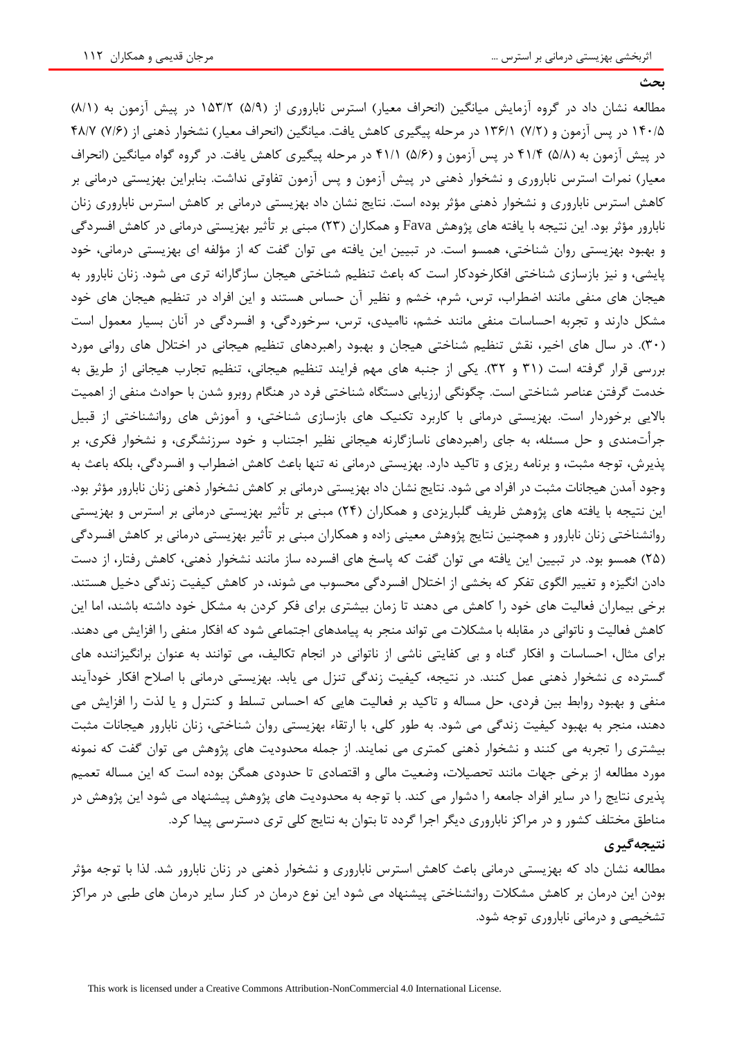**بحث**

مطالعه نشان داد در گروه آزمایش میانگین (انحراف معیار) استرس ناباروری از (۵/۹) ۱۵۳/۲ در پیش آزمون به (۸/۱) ۱۴۰/۵ در پس آزمون و (۷/۲) ۱۳۶/۱ در مرحله پیگیری کاهش یافت. میانگین (انحراف معیار) نشخوار ذهنی از (۷/۶) ۴۸/۷ در پیش آزمون به (۵/۸) ۴۱/۴ در پس آزمون و (۵/۶) ۴۱/۱ در مرحله پیگیری کاهش یافت. در گروه گواه میانگین (انحراف معیار) نمرات استرس ناباروری و نشخوار ذهنی در پیش آزمون و پس آزمون تفاوتی نداشت. بنابراین بهزیستی درمانی بر کاهش استرس ناباروری و نشخوار ذهنی مؤثر بوده است. نتایج نشان داد بهزیستی درمانی بر کاهش استرس ناباروری زنان نابارور مؤثر بود. این نتیجه با یافته های پژوهش Fava و همکاران )23( مبنی بر تأثیر بهزیستی درمانی در کاهش افسردگی و بهبود بهزیستی روان شناختی، همسو است. در تبیین این یافته می توان گفت که از مؤلفه ای بهزیستی درمانی، خود پایشی، و نیز بازسازی شناختی افکارخودکار است که باعث تنظیم شناختی هیجان سازگارانه تری می شود. زنان نابارور به هیجان های منفی مانند اضطراب، ترس، شرم، خشم و نظیر آن حساس هستند و این افراد در تنظیم هیجان های خود مشکل دارند و تجربه احساسات منفی مانند خشم، ناامیدی، ترس، سرخوردگی، و افسردگی در آنان بسیار معمول است )30(. در سال های اخیر، نقش تنظیم شناختی هیجان و بهبود راهبردهای تنظیم هیجانی در اختالل های روانی مورد بررسی قرار گرفته است )31 و 32(. یکی از جنبه های مهم فرایند تنظیم هیجانی، تنظیم تجارب هیجانی از طریق به خدمت گرفتن عناصر شناختی است. چگونگی ارزیابی دستگاه شناختی فرد در هنگام روبرو شدن با حوادث منفی از اهمیت باالیی برخوردار است. بهزیستی درمانی با کاربرد تکنیک های بازسازی شناختی، و آموزش های روانشناختی از قبیل جرأتمندی و حل مسئله، به جای راهبردهای ناسازگارنه هیجانی نظیر اجتناب و خود سرزنشگری، و نشخوار فکری، بر پذیرش، توجه مثبت، و برنامه ریزی و تاکید دارد. بهزیستی درمانی نه تنها باعث کاهش اضطراب و افسردگی، بلکه باعث به وجود آمدن هیجانات مثبت در افراد می شود. نتایج نشان داد بهزیستی درمانی بر کاهش نشخوار ذهنی زنان نابارور مؤثر بود. این نتیجه با یافته های پژوهش ظریف گلباریزدی و همکاران (۲۴) مبنی بر تأثیر بهزیستی درمانی بر استرس و بهزیستی روانشناختی زنان نابارور و همچنین نتایج پژوهش معینی زاده و همکاران مبنی بر تأثیر بهزیستی درمانی بر کاهش افسردگی )25( همسو بود. در تبیین این یافته می توان گفت که پاسخ های افسرده ساز مانند نشخوار ذهنی، کاهش رفتار، از دست دادن انگیزه و تغییر الگوی تفکر که بخشی از اختالل افسردگی محسوب می شوند، در کاهش کیفیت زندگی دخیل هستند. برخی بیماران فعالیت های خود را کاهش می دهند تا زمان بیشتری برای فکر کردن به مشکل خود داشته باشند، اما این کاهش فعالیت و ناتوانی در مقابله با مشکالت می تواند منجر به پیامدهای اجتماعی شود که افکار منفی را افزایش می دهند. برای مثال، احساسات و افکار گناه و بی کفایتی ناشی از ناتوانی در انجام تکالیف، می توانند به عنوان برانگیزاننده های گسترده ی نشخوار ذهنی عمل کنند. در نتیجه، کیفیت زندگی تنزل می یابد. بهزیستی درمانی با اصالح افکار خودآیند منفی و بهبود روابط بین فردی، حل مساله و تاکید بر فعالیت هایی که احساس تسلط و کنترل و یا لذت را افزایش می دهند، منجر به بهبود کیفیت زندگی می شود. به طور کلی، با ارتقاء بهزیستی روان شناختی، زنان نابارور هیجانات مثبت بیشتری را تجربه می کنند و نشخوار ذهنی کمتری می نمایند. از جمله محدودیت های پژوهش می توان گفت که نمونه مورد مطالعه از برخی جهات مانند تحصیالت، وضعیت مالی و اقتصادی تا حدودی همگن بوده است که این مساله تعمیم پذیری نتایج را در سایر افراد جامعه را دشوار می کند. با توجه به محدودیت های پژوهش پیشنهاد می شود این پژوهش در مناطق مختلف کشور و در مراکز ناباروری دیگر اجرا گردد تا بتوان به نتایج کلی تری دسترسی پیدا کرد.

# **نتیجهگیری**

مطالعه نشان داد که بهزیستی درمانی باعث کاهش استرس ناباروری و نشخوار ذهنی در زنان نابارور شد. لذا با توجه مؤثر بودن این درمان بر کاهش مشکالت روانشناختی پیشنهاد می شود این نوع درمان در کنار سایر درمان های طبی در مراکز تشخیصی و درمانی ناباروری توجه شود.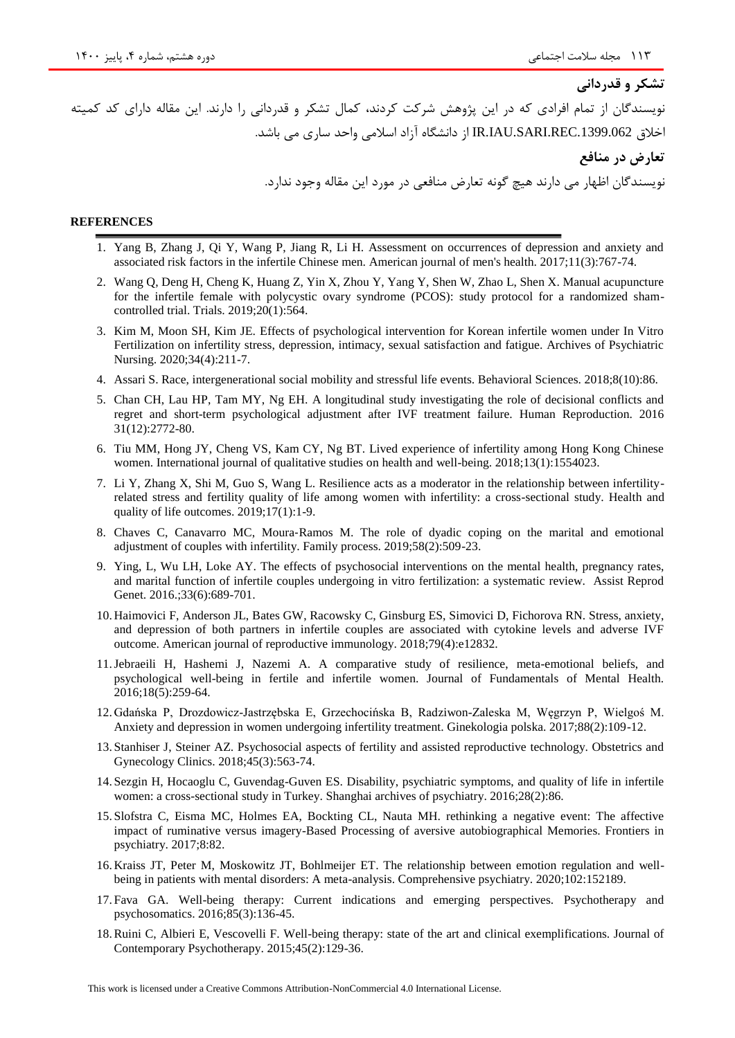# نویسندگان از تمام افرادی که در این پژوهش شرکت کردند، کمال تشکر و قدردانی را دارند. این مقاله دارای کد کمیته اخالق .1399.062REC.SARI.IAU.IR از دانشگاه آزاد اسالمی واحد ساری می باشد. **تعارض در منافع** نویسندگان اظهار می دارند هیچ گونه تعارض منافعی در مورد این مقاله وجود ندارد.

#### **REFERENCES**

- 1. Yang B, Zhang J, Qi Y, Wang P, Jiang R, Li H. Assessment on occurrences of depression and anxiety and associated risk factors in the infertile Chinese men. American journal of men's health. 2017;11(3):767-74.
- 2. Wang Q, Deng H, Cheng K, Huang Z, Yin X, Zhou Y, Yang Y, Shen W, Zhao L, Shen X. Manual acupuncture for the infertile female with polycystic ovary syndrome (PCOS): study protocol for a randomized shamcontrolled trial. Trials. 2019;20(1):564.
- 3. Kim M, Moon SH, Kim JE. Effects of psychological intervention for Korean infertile women under In Vitro Fertilization on infertility stress, depression, intimacy, sexual satisfaction and fatigue. Archives of Psychiatric Nursing. 2020;34(4):211-7.
- 4. Assari S. Race, intergenerational social mobility and stressful life events. Behavioral Sciences. 2018;8(10):86.
- 5. Chan CH, Lau HP, Tam MY, Ng EH. A longitudinal study investigating the role of decisional conflicts and regret and short-term psychological adjustment after IVF treatment failure. Human Reproduction. 2016 31(12):2772-80.
- 6. Tiu MM, Hong JY, Cheng VS, Kam CY, Ng BT. Lived experience of infertility among Hong Kong Chinese women. International journal of qualitative studies on health and well-being. 2018;13(1):1554023.
- 7. Li Y, Zhang X, Shi M, Guo S, Wang L. Resilience acts as a moderator in the relationship between infertilityrelated stress and fertility quality of life among women with infertility: a cross-sectional study. Health and quality of life outcomes. 2019;17(1):1-9.
- 8. Chaves C, Canavarro MC, Moura‐Ramos M. The role of dyadic coping on the marital and emotional adjustment of couples with infertility. Family process. 2019;58(2):509-23.
- 9. Ying, L, Wu LH, Loke AY. The effects of psychosocial interventions on the mental health, pregnancy rates, and marital function of infertile couples undergoing in vitro fertilization: a systematic review. Assist Reprod Genet. 2016.;33(6):689-701.
- 10. Haimovici F, Anderson JL, Bates GW, Racowsky C, Ginsburg ES, Simovici D, Fichorova RN. Stress, anxiety, and depression of both partners in infertile couples are associated with cytokine levels and adverse IVF outcome. American journal of reproductive immunology. 2018;79(4):e12832.
- 11.Jebraeili H, Hashemi J, Nazemi A. A comparative study of resilience, meta-emotional beliefs, and psychological well-being in fertile and infertile women. Journal of Fundamentals of Mental Health. 2016;18(5):259-64.
- 12. Gdańska P, Drozdowicz-Jastrzębska E, Grzechocińska B, Radziwon-Zaleska M, Węgrzyn P, Wielgoś M. Anxiety and depression in women undergoing infertility treatment. Ginekologia polska. 2017;88(2):109-12.
- 13. Stanhiser J, Steiner AZ. Psychosocial aspects of fertility and assisted reproductive technology. Obstetrics and Gynecology Clinics. 2018;45(3):563-74.
- 14. Sezgin H, Hocaoglu C, Guvendag-Guven ES. Disability, psychiatric symptoms, and quality of life in infertile women: a cross-sectional study in Turkey. Shanghai archives of psychiatry. 2016;28(2):86.
- 15. Slofstra C, Eisma MC, Holmes EA, Bockting CL, Nauta MH. rethinking a negative event: The affective impact of ruminative versus imagery-Based Processing of aversive autobiographical Memories. Frontiers in psychiatry. 2017;8:82.
- 16. Kraiss JT, Peter M, Moskowitz JT, Bohlmeijer ET. The relationship between emotion regulation and wellbeing in patients with mental disorders: A meta-analysis. Comprehensive psychiatry. 2020;102:152189.
- 17. Fava GA. Well-being therapy: Current indications and emerging perspectives. Psychotherapy and psychosomatics. 2016;85(3):136-45.
- 18.Ruini C, Albieri E, Vescovelli F. Well-being therapy: state of the art and clinical exemplifications. Journal of Contemporary Psychotherapy. 2015;45(2):129-36.